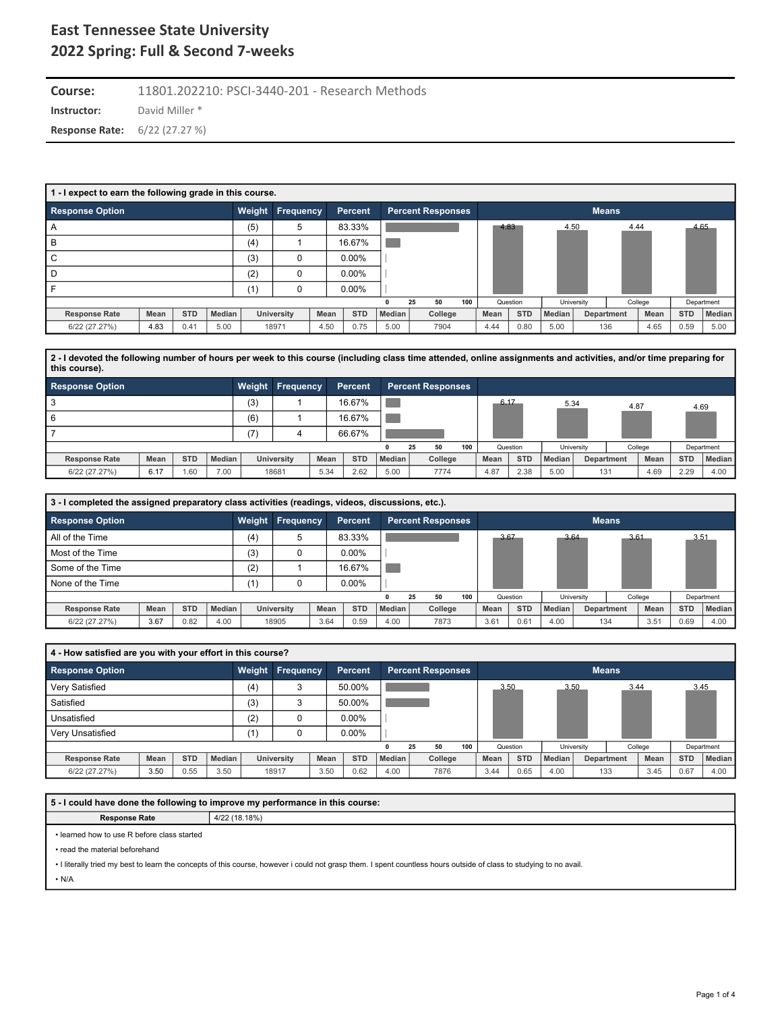**Instructor:** David Miller \* **Course:** 11801.202210: PSCI-3440-201 - Research Methods **Response Rate:** 6/22 (27.27 %)

| 1 - I expect to earn the following grade in this course. |      |            |        |        |            |      |            |               |                          |     |      |            |        |            |              |         |            |               |
|----------------------------------------------------------|------|------------|--------|--------|------------|------|------------|---------------|--------------------------|-----|------|------------|--------|------------|--------------|---------|------------|---------------|
| <b>Response Option</b>                                   |      |            |        | Weight | Frequency  |      | Percent    |               | <b>Percent Responses</b> |     |      |            |        |            | <b>Means</b> |         |            |               |
| A                                                        |      |            |        | (5)    | 5          |      | 83.33%     |               |                          |     |      | 4.83       | 4.50   |            | 4.44         |         |            | 4.65          |
| B                                                        |      |            |        | (4)    |            |      | 16.67%     |               |                          |     |      |            |        |            |              |         |            |               |
| C                                                        |      |            |        | (3)    | 0          |      | $0.00\%$   |               |                          |     |      |            |        |            |              |         |            |               |
| D                                                        |      |            |        | (2)    | 0          |      | $0.00\%$   |               |                          |     |      |            |        |            |              |         |            |               |
|                                                          |      |            |        | (1)    | 0          |      | $0.00\%$   |               |                          |     |      |            |        |            |              |         |            |               |
|                                                          |      |            |        |        |            |      |            | 0             | 50<br>25                 | 100 |      | Question   |        | University |              | College |            | Department    |
| <b>Response Rate</b>                                     | Mean | <b>STD</b> | Median |        | University | Mean | <b>STD</b> | <b>Median</b> | College                  |     | Mean | <b>STD</b> | Median | Department |              | Mean    | <b>STD</b> | <b>Median</b> |
| 6/22 (27.27%)                                            | 4.83 | 0.41       | 5.00   |        | 18971      | 4.50 | 0.75       | 5.00          | 7904                     |     | 4.44 | 0.80       | 5.00   | 136        |              | 4.65    | 0.59       | 5.00          |

**2 - I devoted the following number of hours per week to this course (including class time attended, online assignments and activities, and/or time preparing for this course).**

| <b>Response Option</b>       |                             | Weight | Frequency         |      | Percent    |                     | <b>Percent Responses</b> |         |     |      |            |          |            |            |         |            |            |
|------------------------------|-----------------------------|--------|-------------------|------|------------|---------------------|--------------------------|---------|-----|------|------------|----------|------------|------------|---------|------------|------------|
|                              |                             | (3)    |                   |      | 16.67%     |                     |                          |         |     | 6.17 |            | 5.34     |            | 4.87       |         | 4.69       |            |
| 6                            |                             | (6)    |                   |      | 16.67%     |                     |                          |         |     |      |            |          |            |            |         |            |            |
|                              |                             | (7)    | $\overline{a}$    |      | 66.67%     |                     |                          |         |     |      |            |          |            |            |         |            |            |
|                              |                             |        |                   |      |            |                     | 25                       | 50      | 100 |      | Question   |          | University |            | College |            | Department |
| Mean<br><b>Response Rate</b> | <b>STD</b><br><b>Median</b> |        | <b>University</b> | Mean | <b>STD</b> | Median <sub>1</sub> |                          | College |     | Mean | <b>STD</b> | Median I |            | Department | Mean    | <b>STD</b> | Median     |
| 6.17<br>6/22 (27.27%)        | 7.00<br>1.60                |        | 18681             | 5.34 | 2.62       | 5.00                |                          | 7774    |     | 4.87 | 2.38       | 5.00     |            | 131        | 4.69    | 2.29       | 4.00       |

| 3 - I completed the assigned preparatory class activities (readings, videos, discussions, etc.). |      |            |        |        |                   |      |            |        |    |                          |     |      |            |        |            |              |         |            |            |
|--------------------------------------------------------------------------------------------------|------|------------|--------|--------|-------------------|------|------------|--------|----|--------------------------|-----|------|------------|--------|------------|--------------|---------|------------|------------|
| <b>Response Option</b>                                                                           |      |            |        | Weight | <b>Frequency</b>  |      | Percent    |        |    | <b>Percent Responses</b> |     |      |            |        |            | <b>Means</b> |         |            |            |
| All of the Time                                                                                  |      |            |        | (4)    | 5                 |      | 83.33%     |        |    |                          |     | 3.67 |            | 3.64   |            | 3.61         |         | 3.51       |            |
| Most of the Time                                                                                 |      |            |        | (3)    |                   |      | $0.00\%$   |        |    |                          |     |      |            |        |            |              |         |            |            |
| Some of the Time                                                                                 |      |            |        | (2)    |                   |      | 16.67%     |        |    |                          |     |      |            |        |            |              |         |            |            |
| None of the Time                                                                                 |      |            |        | (1)    |                   |      | $0.00\%$   |        |    |                          |     |      |            |        |            |              |         |            |            |
|                                                                                                  |      |            |        |        |                   |      |            |        | 25 | 50                       | 100 |      | Question   |        | University |              | College |            | Department |
| <b>Response Rate</b>                                                                             | Mean | <b>STD</b> | Median |        | <b>University</b> | Mean | <b>STD</b> | Median |    | College                  |     | Mean | <b>STD</b> | Median |            | Department   | Mean    | <b>STD</b> | Median     |
| 6/22 (27.27%)                                                                                    | 3.67 | 0.82       | 4.00   |        | 18905             | 3.64 | 0.59       | 4.00   |    | 7873                     |     | 3.61 | 0.61       | 4.00   |            | 134          | 3.51    | 0.69       | 4.00       |

| 4 - How satisfied are you with your effort in this course? |      |            |                      |     |                         |      |            |               |    |                          |     |      |            |        |            |              |         |            |               |
|------------------------------------------------------------|------|------------|----------------------|-----|-------------------------|------|------------|---------------|----|--------------------------|-----|------|------------|--------|------------|--------------|---------|------------|---------------|
| Response Option                                            |      |            |                      |     | <b>Weight Frequency</b> |      | Percent    |               |    | <b>Percent Responses</b> |     |      |            |        |            | <b>Means</b> |         |            |               |
| Very Satisfied                                             |      |            |                      | (4) | 3                       |      | 50.00%     |               |    |                          |     | 3.50 |            | 3.50   |            | 3.44         |         |            | 3.45          |
| Satisfied                                                  |      |            |                      | (3) | 3                       |      | 50.00%     |               |    |                          |     |      |            |        |            |              |         |            |               |
| Unsatisfied                                                |      |            |                      | (2) | $\Omega$                |      | $0.00\%$   |               |    |                          |     |      |            |        |            |              |         |            |               |
| Very Unsatisfied                                           |      |            |                      | (1) | 0                       |      | $0.00\%$   |               |    |                          |     |      |            |        |            |              |         |            |               |
|                                                            |      |            |                      |     |                         |      |            |               | 25 | 50                       | 100 |      | Question   |        | University |              | College |            | Department    |
| <b>Response Rate</b>                                       | Mean | <b>STD</b> | Median<br>University |     |                         | Mean | <b>STD</b> | <b>Median</b> |    | College                  |     | Mean | <b>STD</b> | Median |            | Department   | Mean    | <b>STD</b> | <b>Median</b> |
| 6/22 (27.27%)                                              | 3.50 | 0.55       | 3.50                 |     | 18917                   | 3.50 | 0.62       | 4.00          |    | 7876                     |     | 3.44 | 0.65       | 4.00   |            | 133          | 3.45    | 0.67       | 4.00          |
|                                                            |      |            |                      |     |                         |      |            |               |    |                          |     |      |            |        |            |              |         |            |               |

**5 - I could have done the following to improve my performance in this course:**

**Response Rate**  $4/22$  (18.18%)

• learned how to use R before class started

• read the material beforehand

• I literally tried my best to learn the concepts of this course, however i could not grasp them. I spent countless hours outside of class to studying to no avail.

• N/A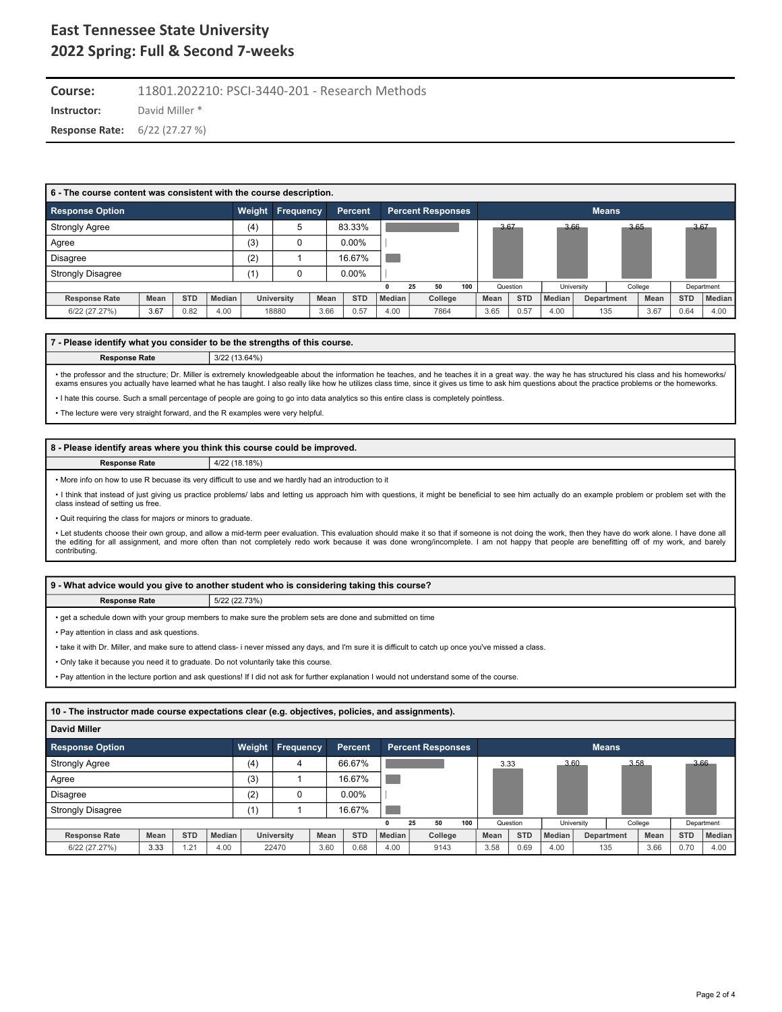**Instructor:** David Miller \* **Course:** 11801.202210: PSCI-3440-201 - Research Methods **Response Rate:** 6/22 (27.27 %)

| 6 - The course content was consistent with the course description. |      |            |               |     |                         |      |                |        |    |                   |     |      |            |               |            |              |         |            |               |
|--------------------------------------------------------------------|------|------------|---------------|-----|-------------------------|------|----------------|--------|----|-------------------|-----|------|------------|---------------|------------|--------------|---------|------------|---------------|
| <b>Response Option</b>                                             |      |            |               |     | <b>Weight Frequency</b> |      | <b>Percent</b> |        |    | Percent Responses |     |      |            |               |            | <b>Means</b> |         |            |               |
| <b>Strongly Agree</b>                                              |      |            |               | (4) | 5                       |      | 83.33%         |        |    |                   |     | 3.67 |            |               | 3.66       | 3.65         |         | 3.67       |               |
| Agree                                                              |      |            |               | (3) |                         |      | $0.00\%$       |        |    |                   |     |      |            |               |            |              |         |            |               |
| <b>Disagree</b>                                                    |      |            |               | (2) |                         |      | 16.67%         |        |    |                   |     |      |            |               |            |              |         |            |               |
| <b>Strongly Disagree</b>                                           |      |            |               | (1) |                         |      | $0.00\%$       |        |    |                   |     |      |            |               |            |              |         |            |               |
|                                                                    |      |            |               |     |                         |      |                |        | 25 | 50                | 100 |      | Question   |               | University |              | College |            | Department    |
| <b>Response Rate</b>                                               | Mean | <b>STD</b> | <b>Median</b> |     | University              | Mean | <b>STD</b>     | Median |    | College           |     | Mean | <b>STD</b> | <b>Median</b> |            | Department   | Mean    | <b>STD</b> | <b>Median</b> |
| 6/22 (27.27%)                                                      | 3.67 | 0.82       | 4.00          |     | 18880                   | 3.66 | 0.57           | 4.00   |    | 7864              |     | 3.65 | 0.57       | 4.00          |            | 135          | 3.67    | 0.64       | 4.00          |

#### **7 - Please identify what you consider to be the strengths of this course.**

**Response Rate** 3/22 (13.64%)

• the professor and the structure; Dr. Miller is extremely knowledgeable about the information he teaches, and he teaches it in a great way. the way he has structured his class and his homeworks/<br>exams ensures you actually

• I hate this course. Such a small percentage of people are going to go into data analytics so this entire class is completely pointless.

• The lecture were very straight forward, and the R examples were very helpful.

#### **8 - Please identify areas where you think this course could be improved.**

**Response Rate** 4/22 (18.18%)

• More info on how to use R becuase its very difficult to use and we hardly had an introduction to it

• I think that instead of just giving us practice problems/ labs and letting us approach him with questions, it might be beneficial to see him actually do an example problem or problem set with the<br>class instead of setting

• Quit requiring the class for majors or minors to graduate.

• Let students choose their own group, and allow a mid-term peer evaluation. This evaluation should make it so that if someone is not doing the work, then they have do work alone. I have done all the editing for all assignment, and more often than not completely redo work because it was done wrong/incomplete. I am not happy that people are benefitting off of my work, and barely contributing.

|                                       | 9 - What advice would you give to another student who is considering taking this course?                   |  |  |  |  |  |  |  |  |  |  |
|---------------------------------------|------------------------------------------------------------------------------------------------------------|--|--|--|--|--|--|--|--|--|--|
| 5/22 (22.73%)<br><b>Response Rate</b> |                                                                                                            |  |  |  |  |  |  |  |  |  |  |
|                                       | • get a schedule down with your group members to make sure the problem sets are done and submitted on time |  |  |  |  |  |  |  |  |  |  |

• Pay attention in class and ask questions.

• take it with Dr. Miller, and make sure to attend class- i never missed any days, and I'm sure it is difficult to catch up once you've missed a class.

• Only take it because you need it to graduate. Do not voluntarily take this course.

• Pay attention in the lecture portion and ask questions! If I did not ask for further explanation I would not understand some of the course.

| 10 - The instructor made course expectations clear (e.g. objectives, policies, and assignments). |      |            |        |        |                   |      |                |               |    |                          |     |      |            |               |              |      |         |            |            |
|--------------------------------------------------------------------------------------------------|------|------------|--------|--------|-------------------|------|----------------|---------------|----|--------------------------|-----|------|------------|---------------|--------------|------|---------|------------|------------|
| David Miller                                                                                     |      |            |        |        |                   |      |                |               |    |                          |     |      |            |               |              |      |         |            |            |
| <b>Response Option</b>                                                                           |      |            |        | Weight | <b>Frequency</b>  |      | <b>Percent</b> |               |    | <b>Percent Responses</b> |     |      |            |               | <b>Means</b> |      |         |            |            |
| <b>Strongly Agree</b>                                                                            |      |            |        | (4)    | 4                 |      | 66.67%         |               |    |                          |     | 3.33 |            | 3.60          |              | 3.58 |         | 3.66       |            |
| Agree                                                                                            |      |            |        | (3)    |                   |      | 16.67%         |               |    |                          |     |      |            |               |              |      |         |            |            |
| Disagree                                                                                         |      |            |        | (2)    |                   |      | $0.00\%$       |               |    |                          |     |      |            |               |              |      |         |            |            |
| <b>Strongly Disagree</b>                                                                         |      |            |        | (1)    |                   |      | 16.67%         |               |    |                          |     |      |            |               |              |      |         |            |            |
|                                                                                                  |      |            |        |        |                   |      |                |               | 25 | 50                       | 100 |      | Question   |               | University   |      | College |            | Department |
| <b>Response Rate</b>                                                                             | Mean | <b>STD</b> | Median |        | <b>University</b> | Mean | <b>STD</b>     | <b>Median</b> |    | College                  |     | Mean | <b>STD</b> | <b>Median</b> | Department   |      | Mean    | <b>STD</b> | Median     |
| 6/22 (27.27%)                                                                                    | 3.33 | 1.21       | 4.00   |        | 22470             | 3.60 | 0.68           | 4.00          |    | 9143                     |     | 3.58 | 0.69       | 4.00          | 135          |      | 3.66    | 0.70       | 4.00       |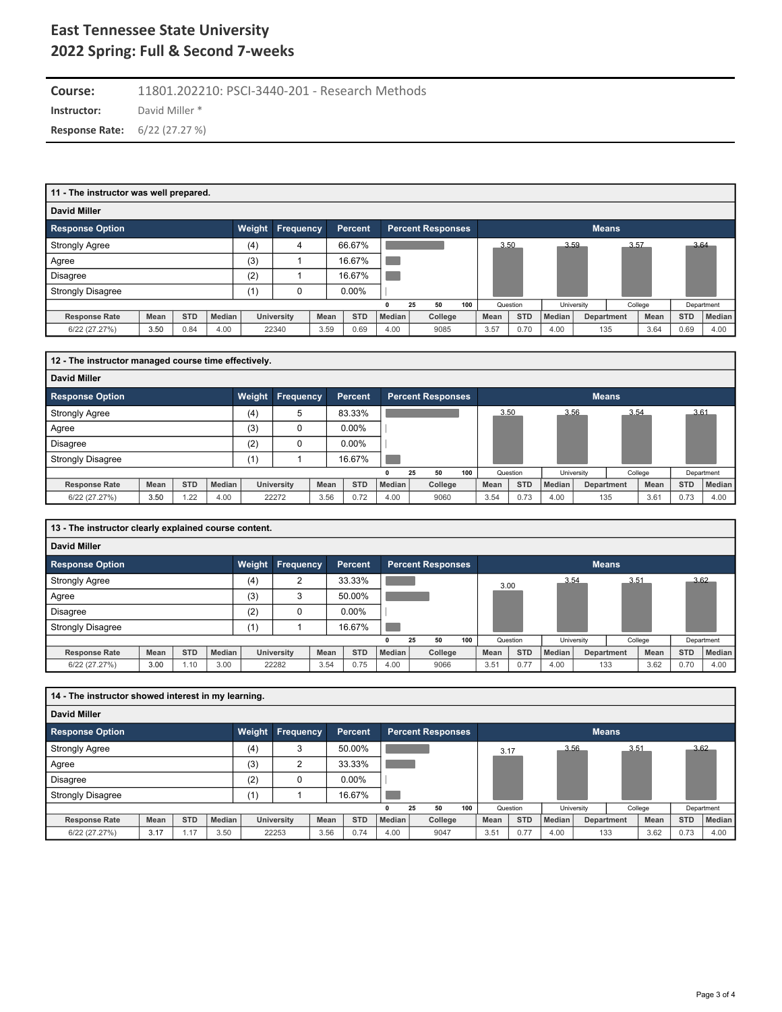**Instructor:** David Miller \* **Course:** 11801.202210: PSCI-3440-201 - Research Methods **Response Rate:** 6/22 (27.27 %)

| 11 - The instructor was well prepared. |      |            |        |        |                   |      |            |               |                          |     |      |            |               |            |              |             |            |               |
|----------------------------------------|------|------------|--------|--------|-------------------|------|------------|---------------|--------------------------|-----|------|------------|---------------|------------|--------------|-------------|------------|---------------|
| <b>David Miller</b>                    |      |            |        |        |                   |      |            |               |                          |     |      |            |               |            |              |             |            |               |
| <b>Response Option</b>                 |      |            |        | Weight | <b>Frequency</b>  |      | Percent    |               | <b>Percent Responses</b> |     |      |            |               |            | <b>Means</b> |             |            |               |
| <b>Strongly Agree</b>                  |      |            |        | (4)    | 4                 |      | 66.67%     |               |                          |     | 3.50 |            | 3.59          |            | 3.57         |             | 3.64       |               |
| Agree                                  |      |            |        | (3)    |                   |      | 16.67%     |               |                          |     |      |            |               |            |              |             |            |               |
| <b>Disagree</b>                        |      |            |        | (2)    |                   |      | 16.67%     |               |                          |     |      |            |               |            |              |             |            |               |
| <b>Strongly Disagree</b>               |      |            |        | (1)    | 0                 |      | $0.00\%$   |               |                          |     |      |            |               |            |              |             |            |               |
|                                        |      |            |        |        |                   |      |            | 0             | 50<br>25                 | 100 |      | Question   |               | University |              | College     |            | Department    |
| <b>Response Rate</b>                   | Mean | <b>STD</b> | Median |        | <b>University</b> | Mean | <b>STD</b> | <b>Median</b> | College                  |     | Mean | <b>STD</b> | <b>Median</b> |            | Department   | <b>Mean</b> | <b>STD</b> | <b>Median</b> |
| 6/22 (27.27%)                          | 3.50 | 0.84       | 4.00   |        | 22340             | 3.59 | 0.69       | 4.00          | 9085                     |     | 3.57 | 0.70       | 4.00          |            | 135          | 3.64        | 0.69       | 4.00          |

| 12 - The instructor managed course time effectively. |      |            |        |        |                  |      |                |        |                          |     |      |            |        |            |                   |         |            |               |
|------------------------------------------------------|------|------------|--------|--------|------------------|------|----------------|--------|--------------------------|-----|------|------------|--------|------------|-------------------|---------|------------|---------------|
| <b>David Miller</b>                                  |      |            |        |        |                  |      |                |        |                          |     |      |            |        |            |                   |         |            |               |
| <b>Response Option</b>                               |      |            |        | Weight | <b>Frequency</b> |      | <b>Percent</b> |        | <b>Percent Responses</b> |     |      |            |        |            | <b>Means</b>      |         |            |               |
| <b>Strongly Agree</b>                                |      |            |        | (4)    | 5                |      | 83.33%         |        |                          |     | 3.50 |            |        | 3.56       | 3.54              |         | 3.61       |               |
| Agree                                                |      |            |        | (3)    |                  |      | $0.00\%$       |        |                          |     |      |            |        |            |                   |         |            |               |
| <b>Disagree</b>                                      |      |            |        | (2)    |                  |      | $0.00\%$       |        |                          |     |      |            |        |            |                   |         |            |               |
| <b>Strongly Disagree</b>                             |      |            |        | (1)    |                  |      | 16.67%         |        |                          |     |      |            |        |            |                   |         |            |               |
|                                                      |      |            |        |        |                  |      |                |        | 50<br>25                 | 100 |      | Question   |        | University |                   | College |            | Department    |
| <b>Response Rate</b>                                 | Mean | <b>STD</b> | Median |        | University       | Mean | <b>STD</b>     | Median | College                  |     | Mean | <b>STD</b> | Median |            | <b>Department</b> | Mean    | <b>STD</b> | <b>Median</b> |
| 6/22 (27.27%)                                        | 3.50 | .22        | 4.00   |        | 22272            | 3.56 | 0.72           | 4.00   | 9060                     |     | 3.54 | 0.73       | 4.00   |            | 135               | 3.61    | 0.73       | 4.00          |

| 13 - The instructor clearly explained course content. |      |            |        |        |                |      |                |               |    |                          |     |      |            |        |                   |              |         |            |            |
|-------------------------------------------------------|------|------------|--------|--------|----------------|------|----------------|---------------|----|--------------------------|-----|------|------------|--------|-------------------|--------------|---------|------------|------------|
| <b>David Miller</b>                                   |      |            |        |        |                |      |                |               |    |                          |     |      |            |        |                   |              |         |            |            |
| <b>Response Option</b>                                |      |            |        | Weight | Frequency      |      | <b>Percent</b> |               |    | <b>Percent Responses</b> |     |      |            |        |                   | <b>Means</b> |         |            |            |
| <b>Strongly Agree</b>                                 |      |            |        | (4)    | $\overline{2}$ |      | 33.33%         |               |    |                          |     | 3.00 |            | 3.54   |                   | 3.51         |         |            | 3.62       |
| Agree                                                 |      |            |        | (3)    | 3              |      | 50.00%         |               |    |                          |     |      |            |        |                   |              |         |            |            |
| <b>Disagree</b>                                       |      |            |        | (2)    | 0              |      | $0.00\%$       |               |    |                          |     |      |            |        |                   |              |         |            |            |
| <b>Strongly Disagree</b>                              |      |            |        | (1)    |                |      | 16.67%         |               |    |                          |     |      |            |        |                   |              |         |            |            |
|                                                       |      |            |        |        |                |      |                |               | 25 | 50                       | 100 |      | Question   |        | University        |              | College |            | Department |
| <b>Response Rate</b>                                  | Mean | <b>STD</b> | Median |        | University     | Mean | <b>STD</b>     | <b>Median</b> |    | College                  |     | Mean | <b>STD</b> | Median | <b>Department</b> |              | Mean    | <b>STD</b> | Median     |
| 6/22 (27.27%)                                         | 3.00 | 1.10       | 3.00   |        | 22282          | 3.54 | 0.75           | 4.00          |    | 9066                     |     | 3.51 | 0.77       | 4.00   | 133               |              | 3.62    | 0.70       | 4.00       |

| 14 - The instructor showed interest in my learning. |      |            |        |        |                   |      |            |        |                          |     |      |            |        |            |                   |         |            |            |
|-----------------------------------------------------|------|------------|--------|--------|-------------------|------|------------|--------|--------------------------|-----|------|------------|--------|------------|-------------------|---------|------------|------------|
| David Miller                                        |      |            |        |        |                   |      |            |        |                          |     |      |            |        |            |                   |         |            |            |
| <b>Response Option</b>                              |      |            |        | Weight | <b>Frequency</b>  |      | Percent    |        | <b>Percent Responses</b> |     |      |            |        |            | <b>Means</b>      |         |            |            |
| <b>Strongly Agree</b>                               |      |            |        | (4)    | 3                 |      | 50.00%     |        |                          |     | 3.17 |            | 3.56   |            | 3.51              |         |            | 3.62       |
| Agree                                               |      |            |        | (3)    | $\sim$            |      | 33.33%     |        |                          |     |      |            |        |            |                   |         |            |            |
| <b>Disagree</b>                                     |      |            |        | (2)    |                   |      | $0.00\%$   |        |                          |     |      |            |        |            |                   |         |            |            |
| <b>Strongly Disagree</b>                            |      |            |        | (1)    |                   |      | 16.67%     |        |                          |     |      |            |        |            |                   |         |            |            |
|                                                     |      |            |        |        |                   |      |            |        | 50<br>25                 | 100 |      | Question   |        | University |                   | College |            | Department |
| <b>Response Rate</b>                                | Mean | <b>STD</b> | Median |        | <b>University</b> | Mean | <b>STD</b> | Median | College                  |     | Mean | <b>STD</b> | Median |            | <b>Department</b> | Mean    | <b>STD</b> | Median     |
| 6/22 (27.27%)                                       | 3.17 | 1.17       | 3.50   |        | 22253             | 3.56 | 0.74       | 4.00   | 9047                     |     | 3.51 | 0.77       | 4.00   | 133        |                   | 3.62    | 0.73       | 4.00       |